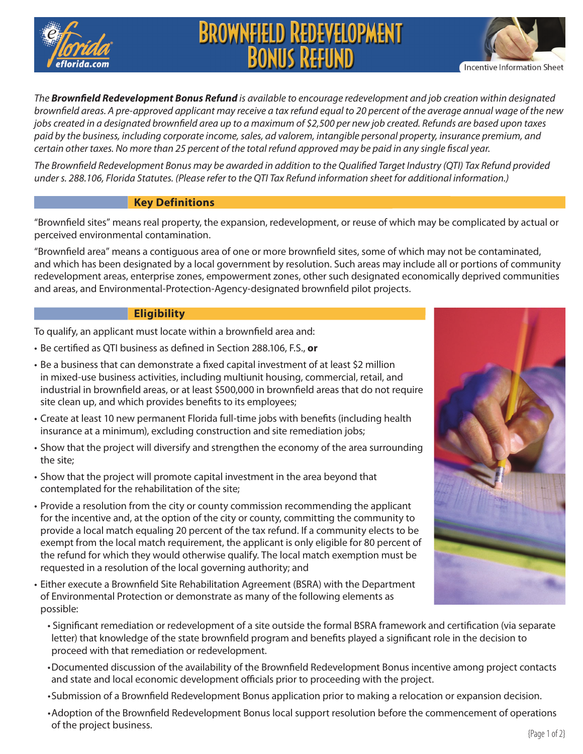

# **BROWNFIELD REDEVELOPMENT**<br>BONIJS REFIJND

*The Brownfield Redevelopment Bonus Refund is available to encourage redevelopment and job creation within designated brownfield areas. A pre-approved applicant may receive a tax refund equal to 20 percent of the average annual wage of the new jobs created in a designated brownfield area up to a maximum of \$2,500 per new job created. Refunds are based upon taxes paid by the business, including corporate income, sales, ad valorem, intangible personal property, insurance premium, and certain other taxes. No more than 25 percent of the total refund approved may be paid in any single fiscal year.*

*The Brownfield Redevelopment Bonus may be awarded in addition to the Qualified Target Industry (QTI) Tax Refund provided under s. 288.106, Florida Statutes. (Please refer to the QTI Tax Refund information sheet for additional information.)*

# **Key Definitions**

"Brownfield sites" means real property, the expansion, redevelopment, or reuse of which may be complicated by actual or perceived environmental contamination.

"Brownfield area" means a contiguous area of one or more brownfield sites, some of which may not be contaminated, and which has been designated by a local government by resolution. Such areas may include all or portions of community redevelopment areas, enterprise zones, empowerment zones, other such designated economically deprived communities and areas, and Environmental-Protection-Agency-designated brownfield pilot projects.

# **Eligibility**

To qualify, an applicant must locate within a brownfield area and:

- • Be certified as QTI business as defined in Section 288.106, F.S., **or**
- • Be a business that can demonstrate a fixed capital investment of at least \$2 million in mixed-use business activities, including multiunit housing, commercial, retail, and industrial in brownfield areas, or at least \$500,000 in brownfield areas that do not require site clean up, and which provides benefits to its employees;
- Create at least 10 new permanent Florida full-time jobs with benefits (including health insurance at a minimum), excluding construction and site remediation jobs;
- • Show that the project will diversify and strengthen the economy of the area surrounding the site;
- Show that the project will promote capital investment in the area beyond that contemplated for the rehabilitation of the site;
- • Provide a resolution from the city or county commission recommending the applicant for the incentive and, at the option of the city or county, committing the community to provide a local match equaling 20 percent of the tax refund. If a community elects to be exempt from the local match requirement, the applicant is only eligible for 80 percent of the refund for which they would otherwise qualify. The local match exemption must be requested in a resolution of the local governing authority; and
- • Either execute a Brownfield Site Rehabilitation Agreement (BSRA) with the Department of Environmental Protection or demonstrate as many of the following elements as possible:



Incentive Information Sheet

- Significant remediation or redevelopment of a site outside the formal BSRA framework and certification (via separate letter) that knowledge of the state brownfield program and benefits played a significant role in the decision to proceed with that remediation or redevelopment.
- • Documented discussion of the availability of the Brownfield Redevelopment Bonus incentive among project contacts and state and local economic development officials prior to proceeding with the project.
- • Submission of a Brownfield Redevelopment Bonus application prior to making a relocation or expansion decision.
- • Adoption of the Brownfield Redevelopment Bonus local support resolution before the commencement of operations of the project business.